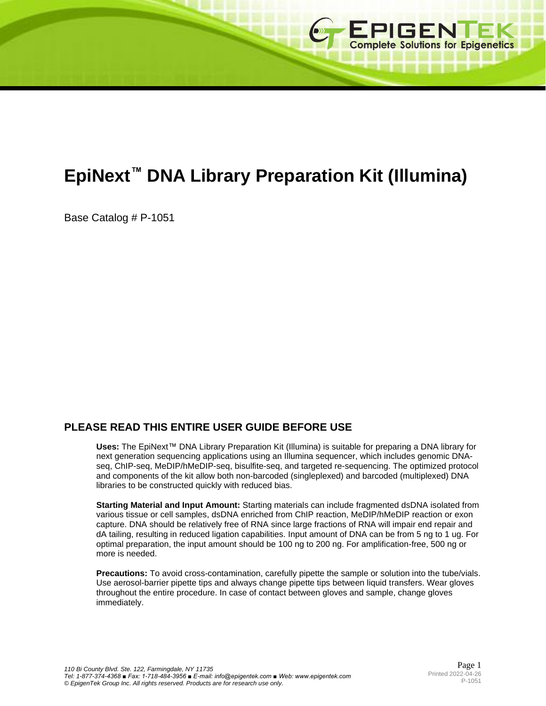

# **EpiNext™ DNA Library Preparation Kit (Illumina)**

Base Catalog # P-1051

# **PLEASE READ THIS ENTIRE USER GUIDE BEFORE USE**

**Uses:** The EpiNext™ DNA Library Preparation Kit (Illumina) is suitable for preparing a DNA library for next generation sequencing applications using an Illumina sequencer, which includes genomic DNAseq, ChIP-seq, MeDIP/hMeDIP-seq, bisulfite-seq, and targeted re-sequencing. The optimized protocol and components of the kit allow both non-barcoded (singleplexed) and barcoded (multiplexed) DNA libraries to be constructed quickly with reduced bias.

**Starting Material and Input Amount:** Starting materials can include fragmented dsDNA isolated from various tissue or cell samples, dsDNA enriched from ChIP reaction, MeDIP/hMeDIP reaction or exon capture. DNA should be relatively free of RNA since large fractions of RNA will impair end repair and dA tailing, resulting in reduced ligation capabilities. Input amount of DNA can be from 5 ng to 1 ug. For optimal preparation, the input amount should be 100 ng to 200 ng. For amplification-free, 500 ng or more is needed.

**Precautions:** To avoid cross-contamination, carefully pipette the sample or solution into the tube/vials. Use aerosol-barrier pipette tips and always change pipette tips between liquid transfers. Wear gloves throughout the entire procedure. In case of contact between gloves and sample, change gloves immediately.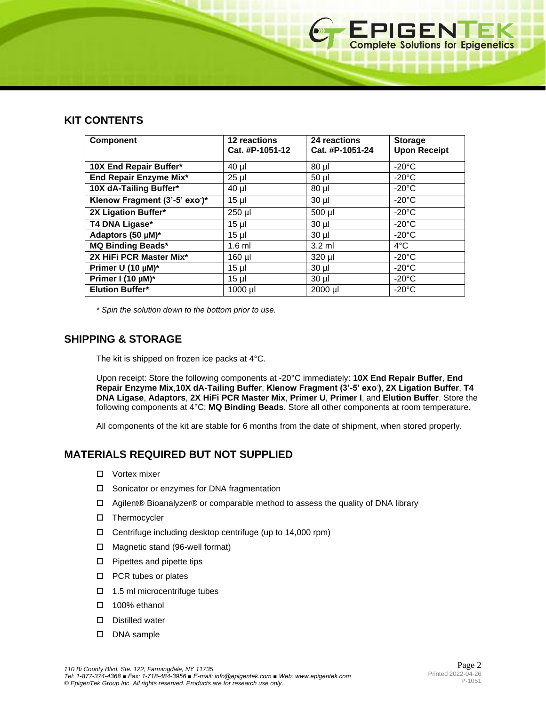# **KIT CONTENTS**

| <b>Component</b>                           | <b>12 reactions</b><br>Cat. #P-1051-12 | 24 reactions<br>Cat. #P-1051-24 | <b>Storage</b><br><b>Upon Receipt</b> |
|--------------------------------------------|----------------------------------------|---------------------------------|---------------------------------------|
| 10X End Repair Buffer*                     | $40 \mu$                               | $80$ µl                         | $-20^{\circ}$ C                       |
| End Repair Enzyme Mix*                     | $25$ µl                                | $50$ µl                         | $-20^{\circ}$ C                       |
| 10X dA-Tailing Buffer*                     | $40 \mu$                               | $80$ µ $\mid$                   | $-20^{\circ}$ C                       |
| Klenow Fragment (3'-5' exo <sup>-</sup> )* | $15 \mu$                               | $30$ $\mu$                      | $-20^{\circ}$ C                       |
| 2X Ligation Buffer*                        | 250 µl                                 | 500 µl                          | $-20^{\circ}$ C                       |
| T4 DNA Ligase*                             | $15 \mu$                               | $30$ $\mu$                      | $-20^{\circ}$ C                       |
| Adaptors (50 µM)*                          | $15$ µl                                | $30$ $\mu$                      | $-20^{\circ}$ C                       |
| <b>MQ Binding Beads*</b>                   | $1.6$ ml                               | $3.2 \text{ ml}$                | $4^{\circ}$ C                         |
| 2X HiFi PCR Master Mix*                    | 160 µl                                 | 320 µl                          | $-20^{\circ}$ C                       |
| Primer U (10 µM)*                          | $15 \mu$                               | $30$ µ $\mid$                   | $-20^{\circ}$ C                       |
| Primer I (10 µM)*                          | $15$ µl                                | $30 \mu$                        | $-20^{\circ}$ C                       |
| <b>Elution Buffer*</b>                     | 1000 µl                                | 2000 µl                         | $-20^{\circ}$ C                       |

*\* Spin the solution down to the bottom prior to use.*

## **SHIPPING & STORAGE**

The kit is shipped on frozen ice packs at 4°C.

Upon receipt: Store the following components at -20°C immediately: **10X End Repair Buffer**, **End Repair Enzyme Mix**,**10X dA-Tailing Buffer**, **Klenow Fragment (3'-5' exo- )**, **2X Ligation Buffer**, **T4 DNA Ligase**, **Adaptors**, **2X HiFi PCR Master Mix**, **Primer U**, **Primer I**, and **Elution Buffer**. Store the following components at 4°C: **MQ Binding Beads**. Store all other components at room temperature.

All components of the kit are stable for 6 months from the date of shipment, when stored properly.

# **MATERIALS REQUIRED BUT NOT SUPPLIED**

- □ Vortex mixer
- □ Sonicator or enzymes for DNA fragmentation
- $\Box$  Agilent® Bioanalyzer® or comparable method to assess the quality of DNA library
- □ Thermocycler
- Centrifuge including desktop centrifuge (up to 14,000 rpm)
- Magnetic stand (96-well format)
- $\square$  Pipettes and pipette tips
- □ PCR tubes or plates
- $\Box$  1.5 ml microcentrifuge tubes
- □ 100% ethanol
- $\square$  Distilled water
- DNA sample

**EPIGENTEK**<br>Complete Solutions for Epigenetics

4世界日本日本社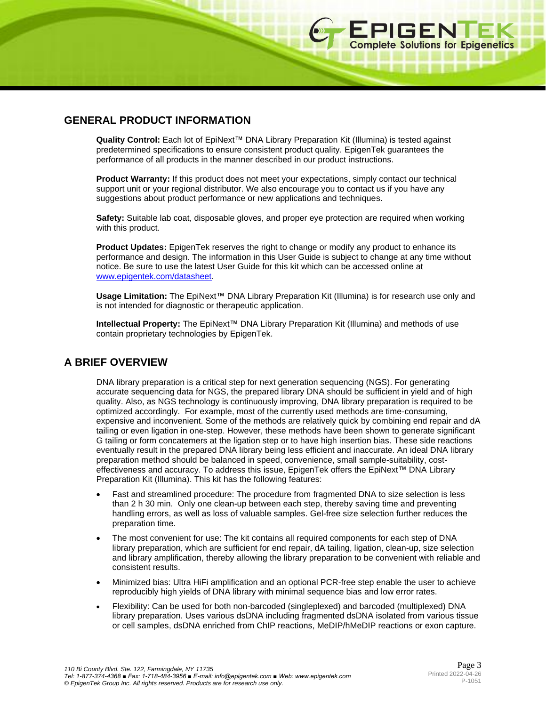**Quality Control:** Each lot of EpiNext™ DNA Library Preparation Kit (Illumina) is tested against predetermined specifications to ensure consistent product quality. EpigenTek guarantees the performance of all products in the manner described in our product instructions.

**Product Warranty:** If this product does not meet your expectations, simply contact our technical support unit or your regional distributor. We also encourage you to contact us if you have any suggestions about product performance or new applications and techniques.

**Safety:** Suitable lab coat, disposable gloves, and proper eye protection are required when working with this product.

**Product Updates:** EpigenTek reserves the right to change or modify any product to enhance its performance and design. The information in this User Guide is subject to change at any time without notice. Be sure to use the latest User Guide for this kit which can be accessed online at [www.epigentek.com/datasheet.](http://www.epigentek.com/datasheet)

**Usage Limitation:** The EpiNext™ DNA Library Preparation Kit (Illumina) is for research use only and is not intended for diagnostic or therapeutic application.

**Intellectual Property:** The EpiNext™ DNA Library Preparation Kit (Illumina) and methods of use contain proprietary technologies by EpigenTek.

# **A BRIEF OVERVIEW**

DNA library preparation is a critical step for next generation sequencing (NGS). For generating accurate sequencing data for NGS, the prepared library DNA should be sufficient in yield and of high quality. Also, as NGS technology is continuously improving, DNA library preparation is required to be optimized accordingly. For example, most of the currently used methods are time-consuming, expensive and inconvenient. Some of the methods are relatively quick by combining end repair and dA tailing or even ligation in one-step. However, these methods have been shown to generate significant G tailing or form concatemers at the ligation step or to have high insertion bias. These side reactions eventually result in the prepared DNA library being less efficient and inaccurate. An ideal DNA library preparation method should be balanced in speed, convenience, small sample-suitability, costeffectiveness and accuracy. To address this issue, EpigenTek offers the EpiNext™ DNA Library Preparation Kit (Illumina). This kit has the following features:

- Fast and streamlined procedure: The procedure from fragmented DNA to size selection is less than 2 h 30 min. Only one clean-up between each step, thereby saving time and preventing handling errors, as well as loss of valuable samples. Gel-free size selection further reduces the preparation time.
- The most convenient for use: The kit contains all required components for each step of DNA library preparation, which are sufficient for end repair, dA tailing, ligation, clean-up, size selection and library amplification, thereby allowing the library preparation to be convenient with reliable and consistent results.
- Minimized bias: Ultra HiFi amplification and an optional PCR-free step enable the user to achieve reproducibly high yields of DNA library with minimal sequence bias and low error rates.
- Flexibility: Can be used for both non-barcoded (singleplexed) and barcoded (multiplexed) DNA library preparation. Uses various dsDNA including fragmented dsDNA isolated from various tissue or cell samples, dsDNA enriched from ChIP reactions, MeDIP/hMeDIP reactions or exon capture.

**EPIGENTEK**<br>Complete Solutions for Epigenetics

(四川明明田田田田)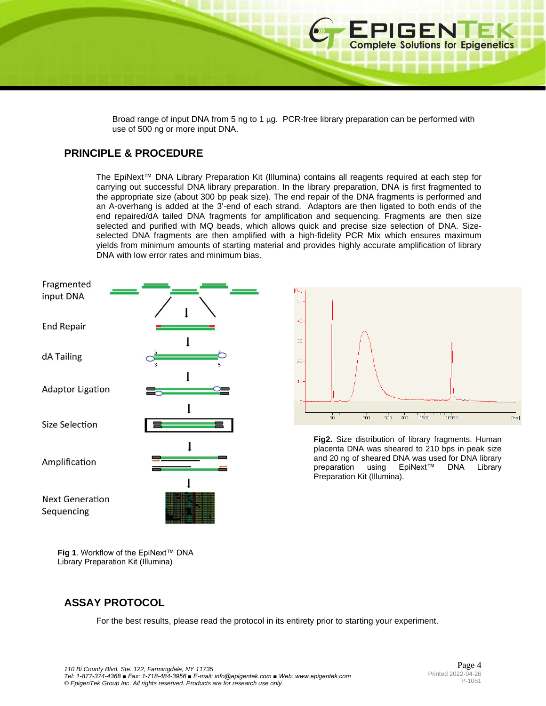Broad range of input DNA from 5 ng to 1 µg. PCR-free library preparation can be performed with use of 500 ng or more input DNA.

# **PRINCIPLE & PROCEDURE**

The EpiNext™ DNA Library Preparation Kit (Illumina) contains all reagents required at each step for carrying out successful DNA library preparation. In the library preparation, DNA is first fragmented to the appropriate size (about 300 bp peak size). The end repair of the DNA fragments is performed and an A-overhang is added at the 3'-end of each strand. Adaptors are then ligated to both ends of the end repaired/dA tailed DNA fragments for amplification and sequencing. Fragments are then size selected and purified with MQ beads, which allows quick and precise size selection of DNA. Sizeselected DNA fragments are then amplified with a high-fidelity PCR Mix which ensures maximum yields from minimum amounts of starting material and provides highly accurate amplification of library DNA with low error rates and minimum bias.





**EPIGENTEK**<br>Complete Solutions for Epigenetics

**Fig2.** Size distribution of library fragments. Human placenta DNA was sheared to 210 bps in peak size and 20 ng of sheared DNA was used for DNA library<br>preparation using EpiNext™ DNA Library preparation using EpiNext™ DNA Library Preparation Kit (Illumina).

**Fig 1**. Workflow of the EpiNext™ DNA Library Preparation Kit (Illumina)

# **ASSAY PROTOCOL**

For the best results, please read the protocol in its entirety prior to starting your experiment.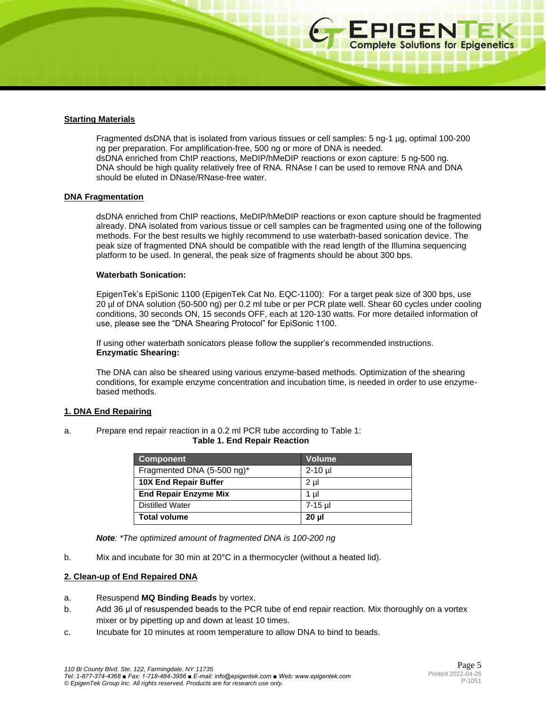\*\*\*\*\*\*\*\*\*\*\*\*\*\*\*

#### **Starting Materials**

Fragmented dsDNA that is isolated from various tissues or cell samples: 5 ng-1 µg, optimal 100-200 ng per preparation. For amplification-free, 500 ng or more of DNA is needed. dsDNA enriched from ChIP reactions, MeDIP/hMeDIP reactions or exon capture: 5 ng-500 ng. DNA should be high quality relatively free of RNA. RNAse I can be used to remove RNA and DNA should be eluted in DNase/RNase-free water.

#### **DNA Fragmentation**

dsDNA enriched from ChIP reactions, MeDIP/hMeDIP reactions or exon capture should be fragmented already. DNA isolated from various tissue or cell samples can be fragmented using one of the following methods. For the best results we highly recommend to use waterbath-based sonication device. The peak size of fragmented DNA should be compatible with the read length of the Illumina sequencing platform to be used. In general, the peak size of fragments should be about 300 bps.

#### **Waterbath Sonication:**

EpigenTek's EpiSonic 1100 (EpigenTek Cat No. EQC-1100): For a target peak size of 300 bps, use 20 µl of DNA solution (50-500 ng) per 0.2 ml tube or per PCR plate well. Shear 60 cycles under cooling conditions, 30 seconds ON, 15 seconds OFF, each at 120-130 watts. For more detailed information of use, please see the "DNA Shearing Protocol" for EpiSonic 1100.

If using other waterbath sonicators please follow the supplier's recommended instructions. **Enzymatic Shearing:** 

The DNA can also be sheared using various enzyme-based methods. Optimization of the shearing conditions, for example enzyme concentration and incubation time, is needed in order to use enzymebased methods.

#### **1. DNA End Repairing**

a. Prepare end repair reaction in a 0.2 ml PCR tube according to Table 1:

|  |  |  |  | <b>Table 1. End Repair Reaction</b> |
|--|--|--|--|-------------------------------------|
|--|--|--|--|-------------------------------------|

| <b>Component</b>             | <b>Volume</b> |
|------------------------------|---------------|
| Fragmented DNA (5-500 ng)*   | 2-10 µl       |
| <b>10X End Repair Buffer</b> | 2 µl          |
| <b>End Repair Enzyme Mix</b> | 1 ul          |
| <b>Distilled Water</b>       | 7-15 µl       |
| <b>Total volume</b>          | 20 ul         |

*Note: \*The optimized amount of fragmented DNA is 100-200 ng*

b. Mix and incubate for 30 min at 20°C in a thermocycler (without a heated lid).

#### **2. Clean-up of End Repaired DNA**

- a. Resuspend **MQ Binding Beads** by vortex.
- b. Add 36 μl of resuspended beads to the PCR tube of end repair reaction. Mix thoroughly on a vortex mixer or by pipetting up and down at least 10 times.
- c. Incubate for 10 minutes at room temperature to allow DNA to bind to beads.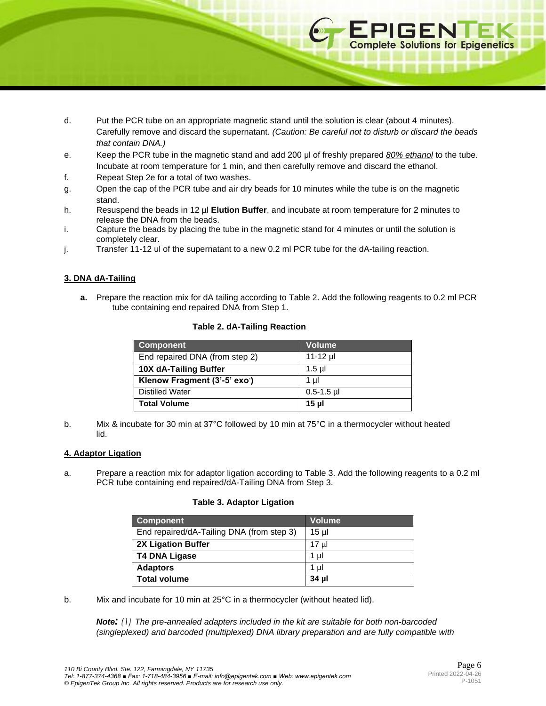- d. Put the PCR tube on an appropriate magnetic stand until the solution is clear (about 4 minutes). Carefully remove and discard the supernatant. *(Caution: Be careful not to disturb or discard the beads that contain DNA.)*
- e. Keep the PCR tube in the magnetic stand and add 200 μl of freshly prepared *80% ethanol* to the tube. Incubate at room temperature for 1 min, and then carefully remove and discard the ethanol.
- f. Repeat Step 2e for a total of two washes.
- g. Open the cap of the PCR tube and air dry beads for 10 minutes while the tube is on the magnetic stand.
- h. Resuspend the beads in 12 µl **Elution Buffer**, and incubate at room temperature for 2 minutes to release the DNA from the beads.
- i. Capture the beads by placing the tube in the magnetic stand for 4 minutes or until the solution is completely clear.
- j. Transfer 11-12 ul of the supernatant to a new 0.2 ml PCR tube for the dA-tailing reaction.

## **3. DNA dA-Tailing**

**a.** Prepare the reaction mix for dA tailing according to Table 2. Add the following reagents to 0.2 ml PCR tube containing end repaired DNA from Step 1.

## **Table 2. dA-Tailing Reaction**

| <b>Component</b>               | Volume          |
|--------------------------------|-----------------|
| End repaired DNA (from step 2) | $11 - 12$ µ     |
| 10X dA-Tailing Buffer          | $1.5$ µl        |
| Klenow Fragment (3'-5' exo')   | 1 ul            |
| <b>Distilled Water</b>         | $0.5 - 1.5$ µl  |
| <b>Total Volume</b>            | 15 <sub>µ</sub> |

b. Mix & incubate for 30 min at 37°C followed by 10 min at 75°C in a thermocycler without heated lid.

#### **4. Adaptor Ligation**

a. Prepare a reaction mix for adaptor ligation according to Table 3. Add the following reagents to a 0.2 ml PCR tube containing end repaired/dA-Tailing DNA from Step 3.

#### **Table 3. Adaptor Ligation**

| <b>Component</b>                          | <b>Volume</b> |
|-------------------------------------------|---------------|
| End repaired/dA-Tailing DNA (from step 3) | 15 ul         |
| <b>2X Ligation Buffer</b>                 | 17 µl         |
| <b>T4 DNA Ligase</b>                      | 1 µl          |
| <b>Adaptors</b>                           | 1 µl          |
| <b>Total volume</b>                       | 34 µl         |

b. Mix and incubate for 10 min at 25°C in a thermocycler (without heated lid).

*Note: (1) The pre-annealed adapters included in the kit are suitable for both non-barcoded (singleplexed) and barcoded (multiplexed) DNA library preparation and are fully compatible with* 

**EPIGENTEK**<br>Complete Solutions for Epigenetics

. . . . . . . .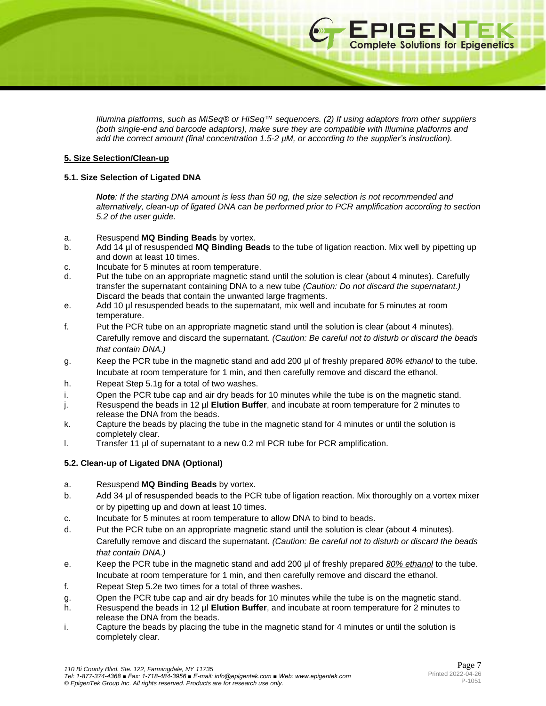*Illumina platforms, such as MiSeq® or HiSeq™ sequencers. (2) If using adaptors from other suppliers (both single-end and barcode adaptors), make sure they are compatible with Illumina platforms and add the correct amount (final concentration 1.5-2 µM, or according to the supplier's instruction).*

#### **5. Size Selection/Clean-up**

## **5.1. Size Selection of Ligated DNA**

*Note: If the starting DNA amount is less than 50 ng, the size selection is not recommended and alternatively, clean-up of ligated DNA can be performed prior to PCR amplification according to section 5.2 of the user guide.*

## a. Resuspend **MQ Binding Beads** by vortex.

- b. Add 14 µl of resuspended **MQ Binding Beads** to the tube of ligation reaction. Mix well by pipetting up and down at least 10 times.
- c. Incubate for 5 minutes at room temperature.
- d. Put the tube on an appropriate magnetic stand until the solution is clear (about 4 minutes). Carefully transfer the supernatant containing DNA to a new tube *(Caution: Do not discard the supernatant.)* Discard the beads that contain the unwanted large fragments.
- e. Add 10 µl resuspended beads to the supernatant, mix well and incubate for 5 minutes at room temperature.
- f. Put the PCR tube on an appropriate magnetic stand until the solution is clear (about 4 minutes). Carefully remove and discard the supernatant. *(Caution: Be careful not to disturb or discard the beads that contain DNA.)*
- g. Keep the PCR tube in the magnetic stand and add 200 μl of freshly prepared *80% ethanol* to the tube. Incubate at room temperature for 1 min, and then carefully remove and discard the ethanol.
- h. Repeat Step 5.1g for a total of two washes.
- i. Open the PCR tube cap and air dry beads for 10 minutes while the tube is on the magnetic stand.
- j. Resuspend the beads in 12 µl **Elution Buffer**, and incubate at room temperature for 2 minutes to release the DNA from the beads.
- k. Capture the beads by placing the tube in the magnetic stand for 4 minutes or until the solution is completely clear.
- l. Transfer 11 µl of supernatant to a new 0.2 ml PCR tube for PCR amplification.

## **5.2. Clean-up of Ligated DNA (Optional)**

## a. Resuspend **MQ Binding Beads** by vortex.

- b. Add 34 μl of resuspended beads to the PCR tube of ligation reaction. Mix thoroughly on a vortex mixer or by pipetting up and down at least 10 times.
- c. Incubate for 5 minutes at room temperature to allow DNA to bind to beads.
- d. Put the PCR tube on an appropriate magnetic stand until the solution is clear (about 4 minutes). Carefully remove and discard the supernatant. *(Caution: Be careful not to disturb or discard the beads that contain DNA.)*
- e. Keep the PCR tube in the magnetic stand and add 200 μl of freshly prepared *80% ethanol* to the tube. Incubate at room temperature for 1 min, and then carefully remove and discard the ethanol.
- f. Repeat Step 5.2e two times for a total of three washes.
- g. Open the PCR tube cap and air dry beads for 10 minutes while the tube is on the magnetic stand.
- h. Resuspend the beads in 12 µl **Elution Buffer**, and incubate at room temperature for 2 minutes to release the DNA from the beads.
- i. Capture the beads by placing the tube in the magnetic stand for 4 minutes or until the solution is completely clear.

**EPIGENTEK**<br>Complete Solutions for Epigenetics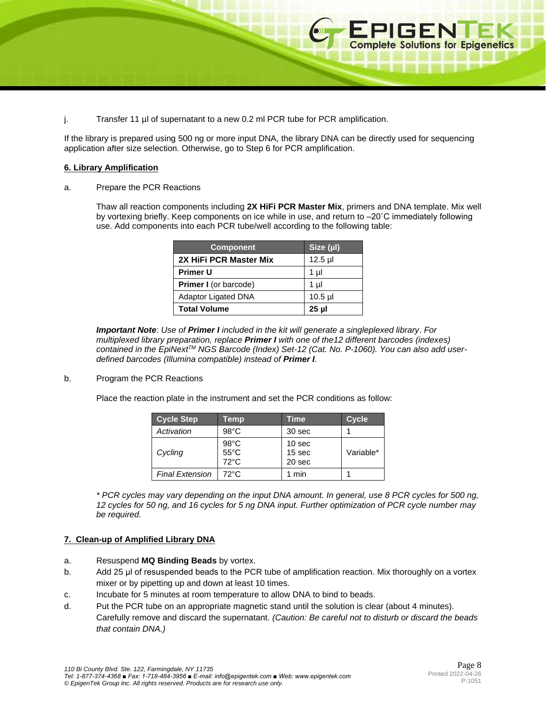

If the library is prepared using 500 ng or more input DNA, the library DNA can be directly used for sequencing application after size selection. Otherwise, go to Step 6 for PCR amplification.

## **6. Library Amplification**

a. Prepare the PCR Reactions

Thaw all reaction components including **2X HiFi PCR Master Mix**, primers and DNA template. Mix well by vortexing briefly. Keep components on ice while in use, and return to –20˚C immediately following use. Add components into each PCR tube/well according to the following table:

| <b>Component</b>             | Size (µ) |
|------------------------------|----------|
| 2X HiFi PCR Master Mix       | $12.5$ µ |
| <b>Primer U</b>              | 1 µl     |
| <b>Primer I</b> (or barcode) | 1 µl     |
| <b>Adaptor Ligated DNA</b>   | $10.5$ µ |
| <b>Total Volume</b>          | 25 µl    |

*Important Note*: *Use of Primer I included in the kit will generate a singleplexed library*. *For multiplexed library preparation, replace Primer I with one of the12 different barcodes (indexes) contained in the EpiNextTM NGS Barcode (Index) Set-12 (Cat. No. P-1060). You can also add userdefined barcodes (Illumina compatible) instead of Primer I.*

b. Program the PCR Reactions

Place the reaction plate in the instrument and set the PCR conditions as follow:

| <b>Cycle Step</b>      | Temp                                               | Time                                  | <b>Cycle</b> |
|------------------------|----------------------------------------------------|---------------------------------------|--------------|
| Activation             | $98^{\circ}$ C                                     | 30 sec                                |              |
| Cycling                | $98^{\circ}$ C<br>$55^{\circ}$ C<br>$72^{\circ}$ C | 10 <sub>sec</sub><br>15 sec<br>20 sec | Variable*    |
| <b>Final Extension</b> | $72^{\circ}$ C                                     | 1 min                                 |              |

*\* PCR cycles may vary depending on the input DNA amount. In general, use 8 PCR cycles for 500 ng, 12 cycles for 50 ng, and 16 cycles for 5 ng DNA input. Further optimization of PCR cycle number may be required.*

#### **7. Clean-up of Amplified Library DNA**

- a. Resuspend **MQ Binding Beads** by vortex.
- b. Add 25 µl of resuspended beads to the PCR tube of amplification reaction. Mix thoroughly on a vortex mixer or by pipetting up and down at least 10 times.
- c. Incubate for 5 minutes at room temperature to allow DNA to bind to beads.
- d. Put the PCR tube on an appropriate magnetic stand until the solution is clear (about 4 minutes). Carefully remove and discard the supernatant. *(Caution: Be careful not to disturb or discard the beads that contain DNA.)*

**EPIGENTEK**<br>Complete Solutions for Epigenetics

□ 照 印 ■ 四 图 四 图.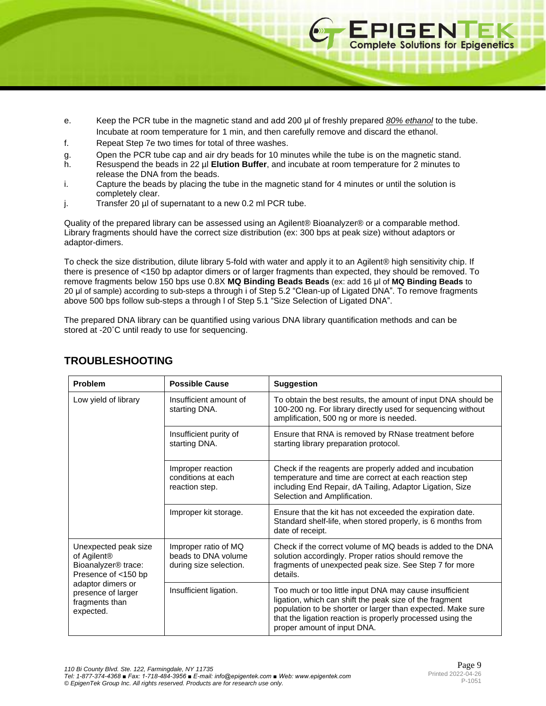- e. Keep the PCR tube in the magnetic stand and add 200 μl of freshly prepared *80% ethanol* to the tube. Incubate at room temperature for 1 min, and then carefully remove and discard the ethanol.
- f. Repeat Step 7e two times for total of three washes.
- g. Open the PCR tube cap and air dry beads for 10 minutes while the tube is on the magnetic stand.
- h. Resuspend the beads in 22 µl **Elution Buffer**, and incubate at room temperature for 2 minutes to release the DNA from the beads.
- i. Capture the beads by placing the tube in the magnetic stand for 4 minutes or until the solution is completely clear.
- j. Transfer 20 µl of supernatant to a new 0.2 ml PCR tube.

Quality of the prepared library can be assessed using an Agilent® Bioanalyzer® or a comparable method. Library fragments should have the correct size distribution (ex: 300 bps at peak size) without adaptors or adaptor-dimers.

To check the size distribution, dilute library 5-fold with water and apply it to an Agilent® high sensitivity chip. If there is presence of <150 bp adaptor dimers or of larger fragments than expected, they should be removed. To remove fragments below 150 bps use 0.8X **MQ Binding Beads Beads** (ex: add 16 μl of **MQ Binding Beads** to 20 μl of sample) according to sub-steps a through i of Step 5.2 "Clean-up of Ligated DNA". To remove fragments above 500 bps follow sub-steps a through l of Step 5.1 "Size Selection of Ligated DNA".

The prepared DNA library can be quantified using various DNA library quantification methods and can be stored at -20˚C until ready to use for sequencing.

| Problem                                                                                                                                                                             | <b>Possible Cause</b>                                                 | <b>Suggestion</b>                                                                                                                                                                                                                                                              |
|-------------------------------------------------------------------------------------------------------------------------------------------------------------------------------------|-----------------------------------------------------------------------|--------------------------------------------------------------------------------------------------------------------------------------------------------------------------------------------------------------------------------------------------------------------------------|
| Low yield of library                                                                                                                                                                | Insufficient amount of<br>starting DNA.                               | To obtain the best results, the amount of input DNA should be<br>100-200 ng. For library directly used for sequencing without<br>amplification, 500 ng or more is needed.                                                                                                      |
|                                                                                                                                                                                     | Insufficient purity of<br>starting DNA.                               | Ensure that RNA is removed by RNase treatment before<br>starting library preparation protocol.                                                                                                                                                                                 |
|                                                                                                                                                                                     | Improper reaction<br>conditions at each<br>reaction step.             | Check if the reagents are properly added and incubation<br>temperature and time are correct at each reaction step<br>including End Repair, dA Tailing, Adaptor Ligation, Size<br>Selection and Amplification.                                                                  |
|                                                                                                                                                                                     | Improper kit storage.                                                 | Ensure that the kit has not exceeded the expiration date.<br>Standard shelf-life, when stored properly, is 6 months from<br>date of receipt.                                                                                                                                   |
| Unexpected peak size<br>of Agilent <sup>®</sup><br>Bioanalyzer <sup>®</sup> trace:<br>Presence of <150 bp<br>adaptor dimers or<br>presence of larger<br>fragments than<br>expected. | Improper ratio of MQ<br>beads to DNA volume<br>during size selection. | Check if the correct volume of MQ beads is added to the DNA<br>solution accordingly. Proper ratios should remove the<br>fragments of unexpected peak size. See Step 7 for more<br>details.                                                                                     |
|                                                                                                                                                                                     | Insufficient ligation.                                                | Too much or too little input DNA may cause insufficient<br>ligation, which can shift the peak size of the fragment<br>population to be shorter or larger than expected. Make sure<br>that the ligation reaction is properly processed using the<br>proper amount of input DNA. |

# **TROUBLESHOOTING**

**EPIGENTEK**<br> **Complete Solutions for Epigenetics** 

3 3 3 4 5 5 6 7 7 8 7 8 7